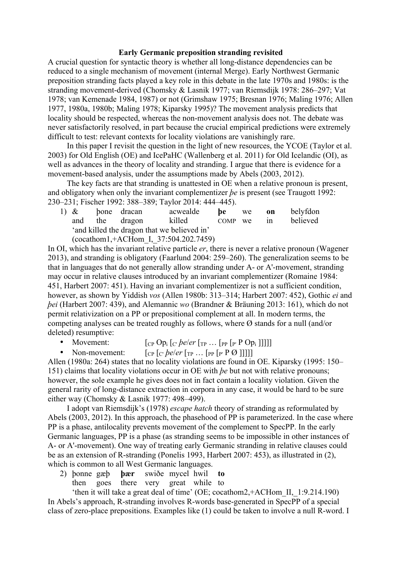## **Early Germanic preposition stranding revisited**

A crucial question for syntactic theory is whether all long-distance dependencies can be reduced to a single mechanism of movement (internal Merge). Early Northwest Germanic preposition stranding facts played a key role in this debate in the late 1970s and 1980s: is the stranding movement-derived (Chomsky & Lasnik 1977; van Riemsdijk 1978: 286–297; Vat 1978; van Kemenade 1984, 1987) or not (Grimshaw 1975; Bresnan 1976; Maling 1976; Allen 1977, 1980a, 1980b; Maling 1978; Kiparsky 1995)? The movement analysis predicts that locality should be respected, whereas the non-movement analysis does not. The debate was never satisfactorily resolved, in part because the crucial empirical predictions were extremely difficult to test: relevant contexts for locality violations are vanishingly rare.

In this paper I revisit the question in the light of new resources, the YCOE (Taylor et al. 2003) for Old English (OE) and IcePaHC (Wallenberg et al. 2011) for Old Icelandic (OI), as well as advances in the theory of locality and stranding. I argue that there is evidence for a movement-based analysis, under the assumptions made by Abels (2003, 2012).

The key facts are that stranding is unattested in OE when a relative pronoun is present, and obligatory when only the invariant complementizer *be* is present (see Traugott 1992: 230–231; Fischer 1992: 388–389; Taylor 2014: 444–445).

|  |                                                        |  | 1) $\&$ bone dracan | acwealde | <b>be</b> we |  | on | belyfdon |
|--|--------------------------------------------------------|--|---------------------|----------|--------------|--|----|----------|
|  |                                                        |  | and the dragon      | killed   | COMP we in   |  |    | believed |
|  | 'and killed the dragon that we believed in'            |  |                     |          |              |  |    |          |
|  | $\frac{1 + \Lambda C \ln 1}{2.500}$ T 27.504.202.7450) |  |                     |          |              |  |    |          |

(cocathom1,+ACHom\_I,\_37:504.202.7459)

In OI, which has the invariant relative particle *er*, there is never a relative pronoun (Wagener 2013), and stranding is obligatory (Faarlund 2004: 259–260). The generalization seems to be that in languages that do not generally allow stranding under A- or A'-movement, stranding may occur in relative clauses introduced by an invariant complementizer (Romaine 1984: 451, Harbert 2007: 451). Having an invariant complementizer is not a sufficient condition, however, as shown by Yiddish *vos* (Allen 1980b: 313–314; Harbert 2007: 452), Gothic *ei* and *þei* (Harbert 2007: 439), and Alemannic *wo* (Brandner & Bräuning 2013: 161), which do not permit relativization on a PP or prepositional complement at all. In modern terms, the competing analyses can be treated roughly as follows, where  $\emptyset$  stands for a null (and/or deleted) resumptive:

- Movement:  $\lbrack \text{cp Op}_i \rbrack_{C}$  *peler*  $\lbrack \text{rp } ... \rbrack_{P}$   $\lbrack \text{p } P \text{ Op}_i \rbrack \rbrack \rbrack$
- Non-movement:  $\lbrack \text{CP} \rbrack_{\mathcal{C}}$  *lever*  $\lbrack \text{TP} \ldots \rbrack_{\mathcal{P}}$   $\lbrack \text{PP} \rbrack_{\mathcal{P}}$   $\lbrack \text{PP} \rbrack$

Allen (1980a: 264) states that no locality violations are found in OE. Kiparsky (1995: 150– 151) claims that locality violations occur in OE with *þe* but not with relative pronouns; however, the sole example he gives does not in fact contain a locality violation. Given the general rarity of long-distance extraction in corpora in any case, it would be hard to be sure either way (Chomsky & Lasnik 1977: 498–499).

I adopt van Riemsdijk's (1978) *escape hatch* theory of stranding as reformulated by Abels (2003, 2012). In this approach, the phasehood of PP is parameterized. In the case where PP is a phase, antilocality prevents movement of the complement to SpecPP. In the early Germanic languages, PP is a phase (as stranding seems to be impossible in other instances of A- or A'-movement). One way of treating early Germanic stranding in relative clauses could be as an extension of R-stranding (Ponelis 1993, Harbert 2007: 453), as illustrated in (2), which is common to all West Germanic languages.

2) þonne gæþ **þær** swiðe mycel hwil **to** then goes there very great while to

'then it will take a great deal of time' (OE; cocathom2,+ACHom\_II,\_1:9.214.190) In Abels's approach, R-stranding involves R-words base-generated in SpecPP of a special class of zero-place prepositions. Examples like (1) could be taken to involve a null R-word. I